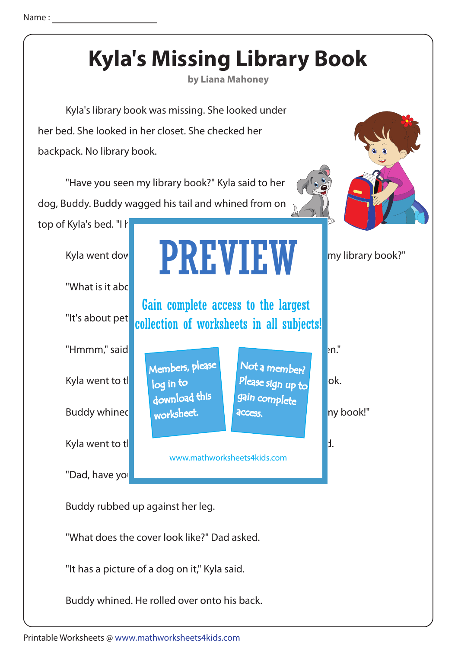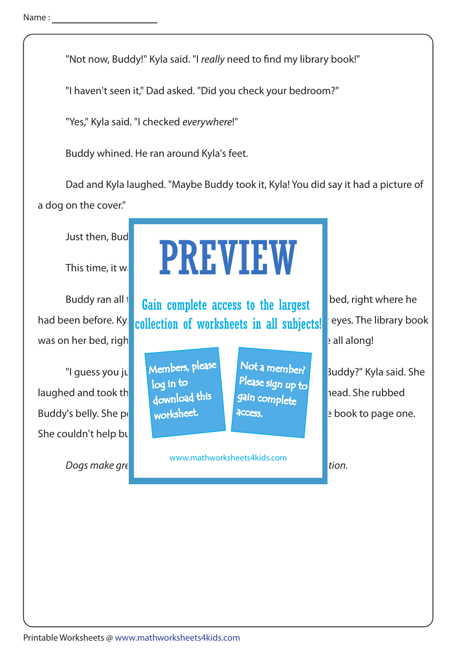"Not now, Buddy!" Kyla said. "I really need to find my library book!"

"I haven't seen it," Dad asked. "Did you check your bedroom?"

"Yes," Kyla said. "I checked everywhere!"

Buddy whined. He ran around Kyla's feet.

 Dad and Kyla laughed. "Maybe Buddy took it, Kyla! You did say it had a picture of a dog on the cover."

Just then, Bud

was on her bed, right under Buddy's from paws. It had been there are all along!

laughed and took the book from under the book  $\frac{1}{2}$  from under  $\frac{1}{2}$  head. She rubbed Buddy's belly. She petted his software his software then she opened the book to page one. She couldn't help bu

Dogs make great performance but the local person local person local person local person local person local per

## This time, it was Kylanda who followed him. PREVIEW

Buddy ran all to **Gain complete access to the largest** and bed, right where he had been before. Kyl collection of worksheets in all subjects! eyes. The library book

> Members, please download this worksheet. log in to

Not a member? gain complete Please sign up to **access** 

www.mathworksheets4kids.com

"I guess you just completed by the said of a member? Buddy?" Kyla said. She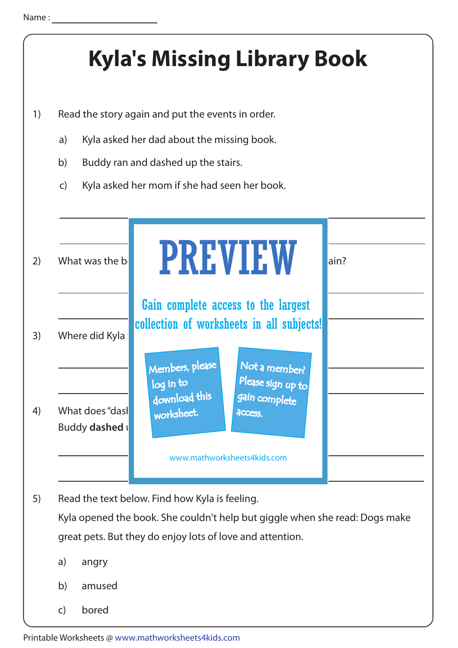